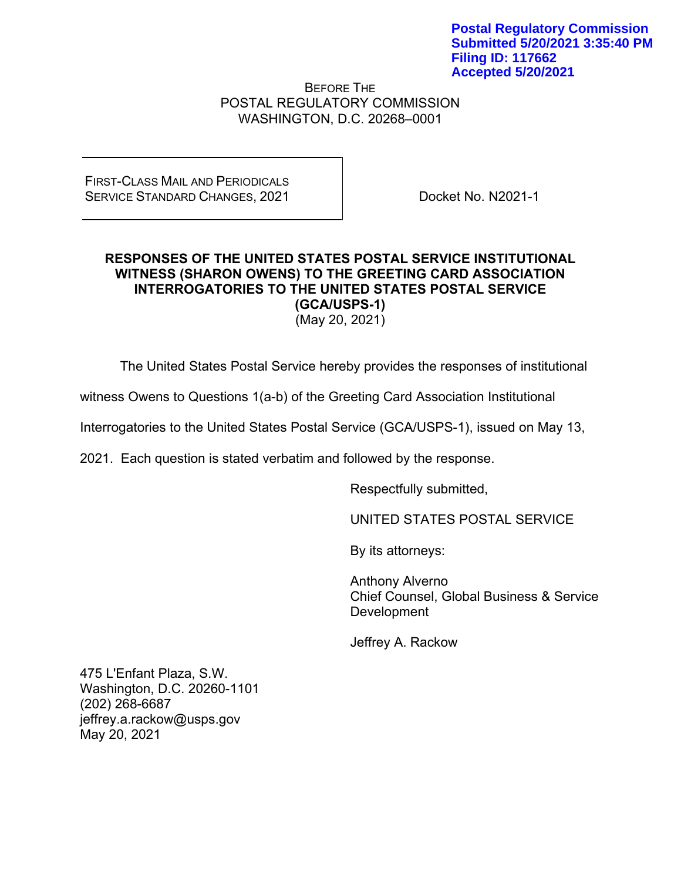BEFORE THE POSTAL REGULATORY COMMISSION WASHINGTON, D.C. 20268–0001

FIRST-CLASS MAIL AND PERIODICALS SERVICE STANDARD CHANGES, 2021

Docket No. N2021-1

## **RESPONSES OF THE UNITED STATES POSTAL SERVICE INSTITUTIONAL WITNESS (SHARON OWENS) TO THE GREETING CARD ASSOCIATION INTERROGATORIES TO THE UNITED STATES POSTAL SERVICE (GCA/USPS-1)**

(May 20, 2021)

The United States Postal Service hereby provides the responses of institutional

witness Owens to Questions 1(a-b) of the Greeting Card Association Institutional

Interrogatories to the United States Postal Service (GCA/USPS-1), issued on May 13,

2021. Each question is stated verbatim and followed by the response.

Respectfully submitted,

UNITED STATES POSTAL SERVICE

By its attorneys:

Anthony Alverno Chief Counsel, Global Business & Service Development

Jeffrey A. Rackow

475 L'Enfant Plaza, S.W. Washington, D.C. 20260-1101 (202) 268-6687 jeffrey.a.rackow@usps.gov May 20, 2021